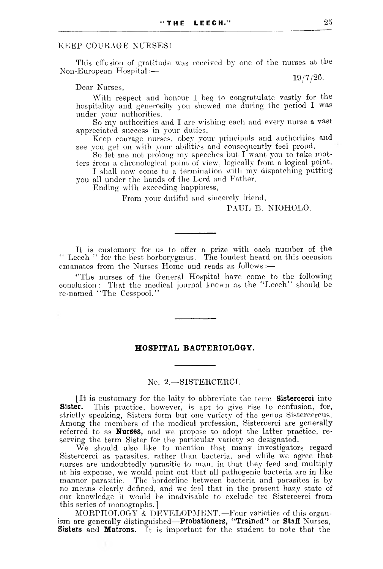### KEEP COURAGE NURSES!

This effusion of gratitude was received by one of the nurses at the Non-European Hospital:—

Dear Nurses,

With respect and honour I beg to congratulate vastly for the hospitality and generosity you showed me during the period I was under your authorities.

So my authorities and I are wishing each and every nurse a vast appreciated success in your duties.

Keep courage nurses, obey your principals and authorities and see you get on with your abilities and consequently feel proud.

So let me not prolong my speeches but I want you to take matters from a chronological point of view, logically from a logical point.

I shall now come to a termination with my dispatching putting you all under the hands of the Lord and Father.

Ending with exceeding happiness,

From your dutiful and sincerely friend,

# PAUL B. NIOHOLO.

It is customary for us to offer a prize with each number of the " Leech " for the best borborygmus. The loudest heard on this occasion emanates from the Nurses Home and reads as follows:—

''The nurses of the General Hospital have come to the following conclusion: That the medical journal known as the "Leech" should be re-named " The Cesspool."

# **HOSPITAL BACTERIOLOGY.**

#### No. 2.— SISTERCERCI.

[It is customary for the laity to abbreviate the term **Sistercerci** into **Sister.** This practice, however, is apt to give rise to confusion, for, strictly speaking, Sisters form but one variety of the genus Sistercercus. Among the members of the medical profession, Sistercerci are generally referred to as **Nurses,** and we propose to adopt the latter practice, reserving the term Sister for the particular variety so designated.

We should also like to mention that many investigators regard Sistercerci as parasites, rather than bacteria, and while we agree that nurses are undoubtedly parasitic to man, in that they feed and multiply at his expense, we would point out that all pathogenic bacteria are in like manner parasitic. The borderline between bacteria and parasites is by no means clearly defined, and we feel that in the present hazy state of our knowledge it would be inadvisable to exclude tre Sistercerci from this series of monographs.]

MORPHOLOGY & DEVELOPMENT.—Four varieties of this organism are generally distinguished—**Probationers, " Trained'\*** or **Staff** Nurses, **Sisters** and **Matrons.** It is important for the student to note that the

19/7/26.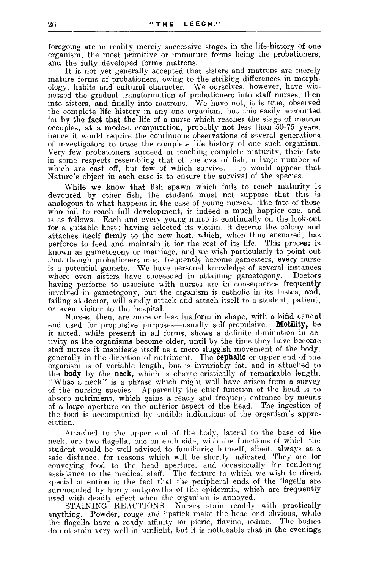foregoing are in reality merely successive stages in the life-history of one organism, the most primitive or immature forms being the probationers, and the fully developed forms matrons.

It is not yet generally accepted that sisters and matrons are merely mature forms of probationers, owing to the striking differences in morphology, habits and cultural character. We ourselves, however, have witnessed the gradual transformation of probationers into staff nurses, then into sisters, and finally into matrons. We have not, it is true, observed the complete life history in any one organism, but this easily accounted for by the **fact that the** life of **a** nurse which reaches the stage of matron occupies, at a modest computation, probably not less than 50-75 years, hence it would require the continuous observations of several generations of investigators to trace the complete life history of one such organism. Very few probationers succeed in teaching complete maturity, their fate in some respects resembling that of the ova of fish, a large number of which are cast off, but few of which survive. It would appear that which are cast off, but few of which survive. Nature's object in each case is to ensure the survival of the species.

While we know that fish spawn which fails to reach maturity is devoured by other fish, the student must not suppose that this is analogous to what happens in the case of young nurses. The fate of those who fail to reach full development, is indeed a much happier one, and is as follows. Each and every young nurse is continually on the look-out for a suitable host; having selected its victim, it deserts the colony and attaches itself firmly to the new host, which, when thus ensnared, has perforce to feed and maintain it for the rest of its life. This process is known as gametogony or marriage, and we wish particularly to point out that though probationers most frequently become gamesters, **every** nurse is a potential gamete. We have personal knowledge of several instances where even sisters have succeeded in attaining gametogony. having perforce to associate with nurses are in consequence frequently involved in gametogony, but the organism is catholic in its tastes, and, failing at doctor, will avidly attack and attach itself to a student, patient, or even visitor to the hospital.

Nurses, then, are more or less fusiform in shape, with a bifid candal end used for propulsive purposes—usually self-propulsive. **Motility,** be it noted, while present in all forms, shows a definite diminution in activity as the organisms become older, until by the time they have become staff nurses it manifests itself as a mere sluggish movement of the body, generally in the direction of nutriment. The **cephalic** or upper end of the organism is of variable length, but is invariably fat, and is attached to the **body** by the **neck,** which is characteristically of remarkable length. "What a neck" is a phrase which might well have arisen from a survey of the nursing species. Apparently the chief function of the head is to absorb nutriment, which gains a ready and frequent entrance by means of a large aperture on the anterior aspect of the head. The ingestion of the food is accompanied by audible indications of the organism's appreciation.

Attached to the upper end of the body, lateral to the base of the neck, are two flagella, one on each side, with the functions of which the student would be well-advised to familiarise himself, albeit, always at a safe distance, for reasons which will be shortly indicated. They are for conveying food to the head aperture, and occasionally for rendering assistance to the medical staff. The feature to which we wish to direct special attention is the fact that the peripheral ends of the flagella are surmounted by horny outgrowths of the epidermis, which are frequently used with deadly effect when the organism is annoyed.

STAINING REACTIONS.—Nurses stain readily with practically anything. Powder, rouge and lipstick make the head end obvious, while the flagella have a ready affinity for picric, flavine, iodine. The bodies do not stain very well in sunlight, but it is noticeable that in the evenings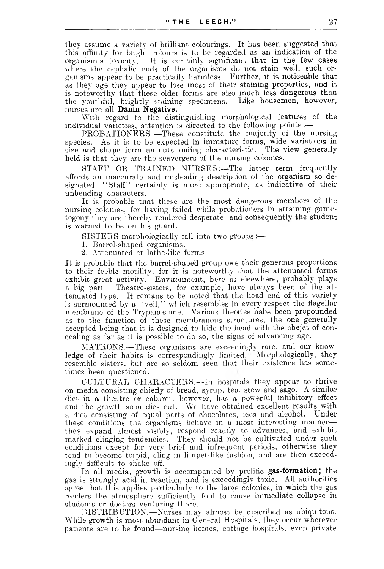they assume a variety of brilliant colourings. It has been suggested that this affinity for bright colours is to be regarded as an indication of the organism's toxicity. It is certainly significant that in the few cases where the cephalic ends of the organisms do not stain well, such organisms appear to be practically harmless. Further, it is noticeable that as they age they appear to lose most of their staining properties, and it is noteworthy that these older forms are also much less dangerous than the youthful, brightly staining specimens. Like housemen, however, the youthful, brightly staining specimens. nurses are all **Damn Negative.**

With regard to the distinguishing morphological features of the individual varieties, attention is directed to the following points :—

PROBATIONERS :—These constitute the majority of the nursing species. As it is to be expected in immature forms, wide variations in size and shape form an outstanding characteristic. The view generally held is that they are the scavergers of the nursing colonies.

STAFF OR TRAINED NURSES:—The latter term frequently affords an inaccurate and misleading description of the organism so designated. " Staff" certainly is more appropriate, as indicative of their unbending characters.

It is probable that these are the most dangerous members of the nursing colonies, for having failed while probationers in attaining gametogony they are thereby rendered desperate, and consequently the student is warned to be on his guard.

SISTERS morphologically fall into two groups:—

1. Barrel-shaped organisms.

2. Attenuated or lathe-like forms.

It is probable that the barrel-shaped group owe their generous proportions to their feeble motility, for it is noteworthy that the attenuated forms exhibit great activity. Environment, here as elsewhere, probably plays a big part. Theatre-sisters, for example, have always been of the attenuated type. It remans to be noted that the head end of this variety is surmounted by a " veil," which resembles in every respect the flagellar membrane of the Trypanosome. Various theories habe been propounded as to the function of these membranous structures, the one generally accepted being that it is designed to hide the head with the obejct of concealing as far as it is possible to do so, the signs of advancing age.

MATRONS.—These organisms are exceedingly rare, and our knowledge of their habits is correspondingly limited. Morphologically, they resemble sisters, but are so seldom seen that their existence has sometimes been questioned.

CULTURAL CHARACTERS.—In hospitals they appear to thrive on media consisting chiefly of bread, syrup, tea, stew and sago. A similar diet in a theatre or cabaret, however, has a powerful inhibitory effect and the growth soon dies out. We have obtained excellent results with a diet consisting of equal parts of chocolates, ices and alcohol. Under a diet consisting of equal parts of chocolates, ices and alcohol. these conditions the organisms behave in a most interesting manner they expand almost visibly, respond readily to advances, and exhibit marked clinging tendencies. They should not be cultivated under such conditions except for very brief and infrequent periods, otherwise they tend to become torpid, cling in limpet-like fashion, and are then exceedingly difficult to shake off.

In all media, growth is accompanied by prolific **gas-formation;** the gas is strongly acid in reaction, and is exceedingly toxic. All authorities agree that this applies particularly to the large colonies, in which the gas renders the atmosphere sufficiently foul to cause immediate collapse in students or doctors venturing there.

DISTRIBUTION.—Nurses may almost be described as ubiquitous. While growth is most abundant in General Hospitals, they occur wherever patients are to be found—nursing homes, cottage hospitals, even private